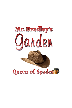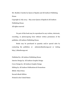Mr. Bradley's Garden by Queen of Spades and All Authors Publishing House

Copyright © July 2014 – May 2020 Queen of Spades & All Authors Publishing House

All rights reserved

No part of this book may be reproduced in any written, electronic, recording, or photocopying form without written permission of the publisher, All Authors Publishing House.

Books may be purchased in quantity and/or special sales by contacting the publisher, at admin@allauthorspp.net or visiting http://allauthorspp.net.

Published by: All Authors Publishing House Interior Design by: All Authors Graphic Design Cover Design by: All Authors Graphic Design Editing by: All Authors Publications & Promotions BISAC: Short Story Second eBook Edition Printed in the United States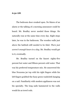**6:30 AM**.

The bedroom door creaked open. No blares of an alarm or the talking of a morning announcer could be heard. Mr. Bradley never needed those things. He naturally rose at the same time every day. Eight steps later, he was in the bathroom. The wooden walls just above the bathtub still needed to be tiled. *There just weren't enough hours in a day.* Mr. Bradley would get to it, eventually.

Mr. Bradley turned on the faucet: eighty-five percent hot water and fifteen percent cold water. That was his preferred temperature mix. He unscrewed the blue Noxzema jar top with his right fingers while his left fingers grabbed the fuzzy green washcloth hanging on a nail. Familiarity with modern appliances was not his specialty. The long nails hammered in the walls would do as towel rods.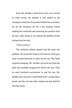Soon Mr. Bradley's dark brown face was covered in white cream. He inhaled it and smiled as the eucalyptus mist from the product tickled his nose hairs. He let the Noxzema set for a few minutes before soaking the washcloth and removing the product from his face. After doing so, he noticed the prickles of hair jutting from his chin.

"Time to shave."

The medicine cabinet opened and the razor was grabbed. He turned the knob at the bottom of the gray razor counterclockwise to open up the top. The blade required changing. Mr. Bradley removed one from the pack and carefully swapped the old for the new. Then he used clockwise movements to seal the top. Mr. Bradley also secured a small black bowl, a beige shave brush, and the red and white striped can that held his shaving cream.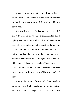About ten minutes later, Mr. Bradley had a smooth face. He was going to take a bath but decided against it. He would wait until the work outside was completed.

Mr. Bradley went to the bedroom and proceeded to get dressed. He threw on a white A-line shirt and a light green cotton button-down that had seen better days. Then, he pulled up and fastened his dark denim overalls. He looked around for his boots but just as quickly recalled they were in the living room. Mr. Bradley's oversized straw hat hung on the bedpost. He didn't want his head to get too hot. Plus, he was selfconscious of the center bald spot of his head but wasn't brave enough to shave the rest of his pepper-colored hair.

After pulling a pair of white socks from the chest of drawers, Mr. Bradley made his way to the kitchen. To his surprise, his huge brown ceramic mug was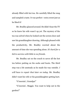already filled with hot tea. He carefully lifted the mug and sampled a taste. It was perfect—extra sweet just as he liked it!

Mr. Bradley glanced around. He didn't hear the TV so he knew his wife wasn't up yet. The mystery of the tea was solved when he looked out the screen door and saw his granddaughter drawing. Although pleased with the productivity, Mr. Bradley worried about the amount of time she was spending alone. *It's hard for a kid to survive with little to no friends.*

Mr. Bradley sat on the couch to savor all the hot tea before putting on his socks and boots. The third step was a bit unsteady as he made his way outside. *I will have to repair that later on today.* Mr. Bradley didn't want his wife or his granddaughter getting hurt.

"G'mornin', Grandpa!"

"G'mornin', Maggie. You want to help out in the garden?"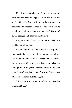Maggie was a bit reluctant. On her last attempt to help, she accidentally stepped on an ant hill in the garden. Her right foot hurt for many days. Sensing her thoughts, Mr. Bradley chimed in, "You won't have to wander through the garden with me. You'll just stand on the edge, and I'll pass you the buckets."

Maggie smiled, then gave a sound of relief. She could definitely do that.

Mr. Bradley unlocked the utility shed and grabbed four plastic buckets—two white, one green, and one red. He gave the colored ones to Maggie while he carted the white ones. While Maggie waited, she watched her grandpa put on his gloves and wander near the crowder peas. It wasn't long before one of the white buckets was filled. He brought it over to Maggie.

"Sit this next to the bottom of the step. Do that with all of them."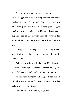This bucket wasn't extremely heavy, but every so often, Maggie would have to swap between her hands during transport. The second white bucket also got filled with peas—that time, black-eyed peas. Maggie made the trek again, placing the black-eyed peas on the opposite side of the crowder peas. She was excited about all the yummy vegetables to eat throughout the year.

"Maggie," Mr. Bradley called. "I'm going to help you with these last two. They are too heavy for you to handle alone."

With teamwork, Mr. Bradley and Maggie carted over the remaining two buckets—one overflowing with green bell peppers and another with red tomatoes.

"When your grandma wakes up, let her know I picked some more stuff. Watch that next-to-thebottom step. It's very loose."

"I know, Grandpa. I usually skip over it."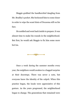Maggie grabbed the handkerchief dangling from Mr. Bradley's pocket. She beckoned him to come closer in order to wipe the scant hints of Noxzema still on his face.

He nodded and went back inside to prepare. It was almost time to make his rounds in the neighborhood. But first, he would ask Maggie to fix him some more hot tea.



Once a week during the summer months every year, the neighbors would awaken to a bagged surprise at their doorsteps. There was never a note, but everyone knew the identity of the culprit. When this practice began, the locals were appreciative of this gesture. As the years progressed, the neighborhood began to change. The generations that remained were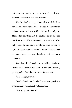not as grateful and began seeing the delivery of fresh fruits and vegetables as a requirement.

Mr. Bradley's energy, along with his infectious zest for life, started to decline. He was a man who loved being outdoors and took pride in his garden and yard. More often now than not, he couldn't finish mowing the three acres of land in one day. Since Mr. Bradley didn't have the stamina to maintain a huge garden, he opted to operate one on a smaller scale. There weren't as many crops grown; therefore, not as many deliveries.

One day while Maggie was watching television, there was a knock at the door. It was Mrs. Murphy peering at her from the other side of the screen.

"Oh, Maggie, it's you!"

"Well, who else would it be?" Maggie snapped. She wasn't exactly Mrs. Murphy's biggest fan.

"Is your grandfather in?"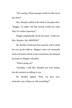"He's resting. What message would you like me to give him?"

Mrs. Murphy pulled at the latch to the glass door. "Maggie, I'd rather tell him myself. Could you wake him? It's rather important."

Maggie emphatically shook her head. "I told you, Mrs. Murphy. He's RESTING!"

Mr. Bradley's bedroom door opened, and he made his way up the hallway. Maggie's voice was unusually loud so he had to check on the commotion. He clamped his hand on Maggie's shoulder.

"What's going on?"

"Grandpa, I told Mrs. Murphy you were asleep, but she insisted on talking to you."

Mr. Bradley sighed. "Well, I'm here now. Gertrude, may I help you with something?"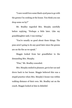"I sure would love some black-eyed peas to go with the greens I'm cooking at the house. You think you can drop some on by?"

Mr. Bradley regarded Mrs. Murphy carefully before replying, "Perhaps a little later. Like my granddaughter said, I was resting."

"You're usually so good about these things. The peas aren't going to do any good later since the greens are on the fire as we speak."

Maggie looked from her grandfather to the demanding Mrs. Murphy.

"Fine," Mr. Bradley conceded.

Mrs. Murphy smiled in pleasure, got in her car and drove back to her house. Maggie believed this was a stupid practice when Mrs. Murphy's house was within walking distance of their own. Mr. Bradley sat on the couch. Maggie looked at him in disbelief.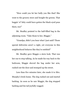"How could you let her bully you like that? She went to the grocery store and bought the greens. That beggin' ol' bitty could have gotten the black-eyed peas there, too!"

Mr. Bradley pointed to the half-filled bag in the adjoining room. "Take those to her, Maggie."

"Grandpa, didn't you hear what I just said? Those special deliveries aren't a right, yet everyone in this neighborhood behaves like they're entitled!"

Mr. Bradley gave Maggie a stern look. That was her cue to stop talking. As he made his way back to the bedroom, Maggie shoved the bag under her arm, rushed out the door and stomped up the street.

Less than five minutes later, she made it to Mrs. Murphy's brick home. The dog rushed out and started barking. As soon as he saw Maggie, the dog stopped barking and his tail joyfully wagged.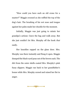"How could you have such an old crone for a master?" Maggie crooned as she ruffled the top of the dog's hair. The brushing of his wet nose and tongue against her palm made her chuckle for the moment.

Initially, Maggie was just going to mimic her grandpa's actions—leave the bag and walk away. But she just couldn't let Mrs. Murphy off the hook *that* easily.

Her knuckles rapped on the glass door. Mrs. Murphy was there instantly and flung it open. Maggie dumped the black-eyed peas out of the brown sack. The dirt from the outer shells coated Mrs. Murphy's pink fuzzy slippers. Maggie ran back to her grandfather's house while Mrs. Murphy cursed and raised her fist in anger.

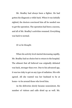Mr. Bradley had always been a fighter. He had gotten his diagnosis a while back. When it was initially sighted, the doctors convinced him all he needed was to get the operation. The operation had been a success, and all of Mr. Bradley's activities resumed. Everything was back to normal.

*Or so he thought.*

When his activity level started decreasing rapidly, Mr. Bradley had no choice but to return to the hospital. The ailment that all believed was originally defeated was back, stronger than ever. Due to his advanced age, it was too risky to get on any type of radiation. His wife agreed. All she wanted was her husband to be at home—to be around those who loved him.

As the deliveries slowly became nonexistent, the number of visitors and calls dried up as well. Mr.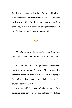Bradley never expressed it, but Maggie could tell the switch bothered him. There was a sadness that lingered in his eyes. Mr. Bradley's moments of laughter dwindled, and soon Maggie couldn't pinpoint the last time he had exhibited any expressions of joy.

 $+$   $\sqrt{200}$   $-$ 

*"Don't give me my flowers when I am dead. Give them to me when I'm alive and can appreciate them."*

Maggie's aunt (her grandpa's sister) always said that from time to time. The truth of it came crashing down the day of Mr. Bradley's funeral. So many people far and wide had come to pay their respects. The church was jam-packed.

Maggie couldn't understand. The hypocrisy of the scene sickened her. Her fury and sadness wrestled for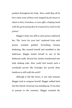position throughout her body. *How could they all be here when none of them even stopped by the house to check on him, Grandma, or even offer a helping hand with the yard and garden he treasured so much in his prime?*

Maggie's body was stiff as each person embraced her. The "sorry for your loss" muttered from each person sounded garbled. Everything became deafening. She excused herself and stumbled to the bathroom. Maggie locked herself in one of the bathroom stalls. Several dry retches transformed into body shaking sobs. *How could God snatch such a wonderful person like Grandpa but permit these heathens to still walk the earth?*

Although it felt like hours, it was only minutes Maggie took to compose herself. Maggie walked back into the church. Everyone was standing up. It was time to journey to the cemetery. Maggie resumed the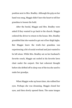position next to Mrs. Bradley. Although the grip on her hand was snug, Maggie didn't have the heart to tell her grandma to loosen the hold.

After the burial, Maggie and Mrs. Bradley were asked if they wanted to go back to the church. Maggie ordered the driver to return to the house. Mrs. Bradley grumbled that she wanted to get out of her thigh highs. But Maggie knew the truth—her grandma was experiencing a bit of social overload and just wanted to be left alone. While Mrs. Bradley sat on her husband's favorite couch, Maggie sat curled in his favorite lawn chair under the carport. Her last coherent thought before she drifted off to sleep was of the tea she used to make her grandpa.

When Maggie woke up hours later, she rubbed her eyes. Perhaps she was dreaming. Maggie closed her eyes, and then slowly opened them. The same images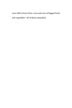were still in front of her: rows and rows of bagged fruits and vegetables—all of them unmarked.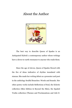## About the Author



The best way to describe Queen of Spades is an Antiquated Hybrid: a contemporary author whose writings have a down-to-earth resonance to anyone who reads them.

Since the age of eleven, Queen of Spades flowed with the fire of ideas indicative of rhythm inundated with stanzas. She made her writing debut as a presenter and poet in the anthology Soulful Branches: Words and Sounds. Her other poetry works include Reflections of Soul, the Eclectic collection (Skin Edition & Beyond the Skin), the Spaded Truths collection (Themes and Proclamations and Life-O-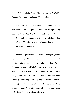Suction), Private Pain: Amidst These Ashes, and R.I.P.(E).: Random Inspirations on Paper: (E)ve-olution.

Queen of Spades also collaborates in subjects she is passionate about. She provided works in the April 2014 poetry anthology Words of Fire and Ice by Durham Editing and E-books. In addition, she partnered with fellow author MJ Holman addressing the stigma of mental illness: The Sea of Conscience and Waves to Light.

Storytelling took spotlight alongside poetry in Queen's literary evolution. She has written four independent short stories: "Taint on Religion", "Mr. Bradley's Garden", "When Summer Lingers", and "Finding My Heart". Furthermore, she has participated in a number of short story compilations, such as Continuous Drips, the Concordant Vibrancy anthology series (Unity, Vitality, Lustrate, Inferno), and the Divergent Ink collection (Crackles of the Heart, Pleasure Prints). She released her first short story collection A Scribe's Sentiments in 2019.